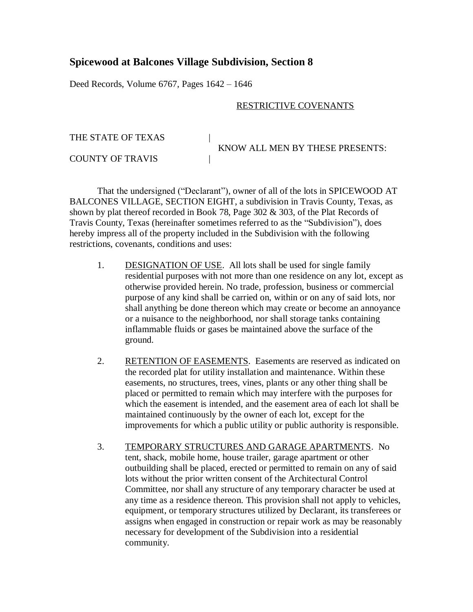## **Spicewood at Balcones Village Subdivision, Section 8**

Deed Records, Volume 6767, Pages 1642 – 1646

## RESTRICTIVE COVENANTS

THE STATE OF TEXAS KNOW ALL MEN BY THESE PRESENTS: COUNTY OF TRAVIS |

That the undersigned ("Declarant"), owner of all of the lots in SPICEWOOD AT BALCONES VILLAGE, SECTION EIGHT, a subdivision in Travis County, Texas, as shown by plat thereof recorded in Book 78, Page 302 & 303, of the Plat Records of Travis County, Texas (hereinafter sometimes referred to as the "Subdivision"), does hereby impress all of the property included in the Subdivision with the following restrictions, covenants, conditions and uses:

- 1. DESIGNATION OF USE. All lots shall be used for single family residential purposes with not more than one residence on any lot, except as otherwise provided herein. No trade, profession, business or commercial purpose of any kind shall be carried on, within or on any of said lots, nor shall anything be done thereon which may create or become an annoyance or a nuisance to the neighborhood, nor shall storage tanks containing inflammable fluids or gases be maintained above the surface of the ground.
- 2. RETENTION OF EASEMENTS. Easements are reserved as indicated on the recorded plat for utility installation and maintenance. Within these easements, no structures, trees, vines, plants or any other thing shall be placed or permitted to remain which may interfere with the purposes for which the easement is intended, and the easement area of each lot shall be maintained continuously by the owner of each lot, except for the improvements for which a public utility or public authority is responsible.
- 3. TEMPORARY STRUCTURES AND GARAGE APARTMENTS. No tent, shack, mobile home, house trailer, garage apartment or other outbuilding shall be placed, erected or permitted to remain on any of said lots without the prior written consent of the Architectural Control Committee, nor shall any structure of any temporary character be used at any time as a residence thereon. This provision shall not apply to vehicles, equipment, or temporary structures utilized by Declarant, its transferees or assigns when engaged in construction or repair work as may be reasonably necessary for development of the Subdivision into a residential community.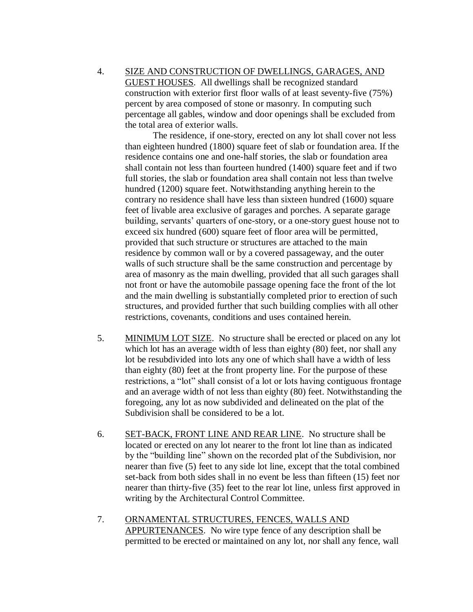4. SIZE AND CONSTRUCTION OF DWELLINGS, GARAGES, AND GUEST HOUSES. All dwellings shall be recognized standard construction with exterior first floor walls of at least seventy-five (75%) percent by area composed of stone or masonry. In computing such percentage all gables, window and door openings shall be excluded from the total area of exterior walls.

The residence, if one-story, erected on any lot shall cover not less than eighteen hundred (1800) square feet of slab or foundation area. If the residence contains one and one-half stories, the slab or foundation area shall contain not less than fourteen hundred (1400) square feet and if two full stories, the slab or foundation area shall contain not less than twelve hundred (1200) square feet. Notwithstanding anything herein to the contrary no residence shall have less than sixteen hundred (1600) square feet of livable area exclusive of garages and porches. A separate garage building, servants' quarters of one-story, or a one-story guest house not to exceed six hundred (600) square feet of floor area will be permitted, provided that such structure or structures are attached to the main residence by common wall or by a covered passageway, and the outer walls of such structure shall be the same construction and percentage by area of masonry as the main dwelling, provided that all such garages shall not front or have the automobile passage opening face the front of the lot and the main dwelling is substantially completed prior to erection of such structures, and provided further that such building complies with all other restrictions, covenants, conditions and uses contained herein.

- 5. MINIMUM LOT SIZE. No structure shall be erected or placed on any lot which lot has an average width of less than eighty (80) feet, nor shall any lot be resubdivided into lots any one of which shall have a width of less than eighty (80) feet at the front property line. For the purpose of these restrictions, a "lot" shall consist of a lot or lots having contiguous frontage and an average width of not less than eighty (80) feet. Notwithstanding the foregoing, any lot as now subdivided and delineated on the plat of the Subdivision shall be considered to be a lot.
- 6. SET-BACK, FRONT LINE AND REAR LINE. No structure shall be located or erected on any lot nearer to the front lot line than as indicated by the "building line" shown on the recorded plat of the Subdivision, nor nearer than five (5) feet to any side lot line, except that the total combined set-back from both sides shall in no event be less than fifteen (15) feet nor nearer than thirty-five (35) feet to the rear lot line, unless first approved in writing by the Architectural Control Committee.
- 7. ORNAMENTAL STRUCTURES, FENCES, WALLS AND APPURTENANCES. No wire type fence of any description shall be permitted to be erected or maintained on any lot, nor shall any fence, wall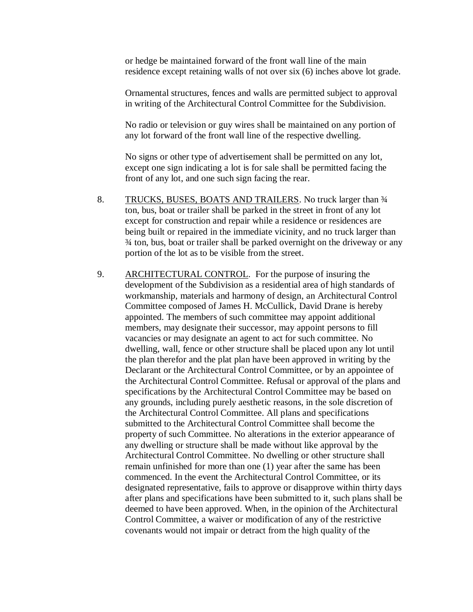or hedge be maintained forward of the front wall line of the main residence except retaining walls of not over six (6) inches above lot grade.

Ornamental structures, fences and walls are permitted subject to approval in writing of the Architectural Control Committee for the Subdivision.

No radio or television or guy wires shall be maintained on any portion of any lot forward of the front wall line of the respective dwelling.

No signs or other type of advertisement shall be permitted on any lot, except one sign indicating a lot is for sale shall be permitted facing the front of any lot, and one such sign facing the rear.

- 8. TRUCKS, BUSES, BOATS AND TRAILERS. No truck larger than  $\frac{3}{4}$ ton, bus, boat or trailer shall be parked in the street in front of any lot except for construction and repair while a residence or residences are being built or repaired in the immediate vicinity, and no truck larger than ¾ ton, bus, boat or trailer shall be parked overnight on the driveway or any portion of the lot as to be visible from the street.
- 9. ARCHITECTURAL CONTROL. For the purpose of insuring the development of the Subdivision as a residential area of high standards of workmanship, materials and harmony of design, an Architectural Control Committee composed of James H. McCullick, David Drane is hereby appointed. The members of such committee may appoint additional members, may designate their successor, may appoint persons to fill vacancies or may designate an agent to act for such committee. No dwelling, wall, fence or other structure shall be placed upon any lot until the plan therefor and the plat plan have been approved in writing by the Declarant or the Architectural Control Committee, or by an appointee of the Architectural Control Committee. Refusal or approval of the plans and specifications by the Architectural Control Committee may be based on any grounds, including purely aesthetic reasons, in the sole discretion of the Architectural Control Committee. All plans and specifications submitted to the Architectural Control Committee shall become the property of such Committee. No alterations in the exterior appearance of any dwelling or structure shall be made without like approval by the Architectural Control Committee. No dwelling or other structure shall remain unfinished for more than one (1) year after the same has been commenced. In the event the Architectural Control Committee, or its designated representative, fails to approve or disapprove within thirty days after plans and specifications have been submitted to it, such plans shall be deemed to have been approved. When, in the opinion of the Architectural Control Committee, a waiver or modification of any of the restrictive covenants would not impair or detract from the high quality of the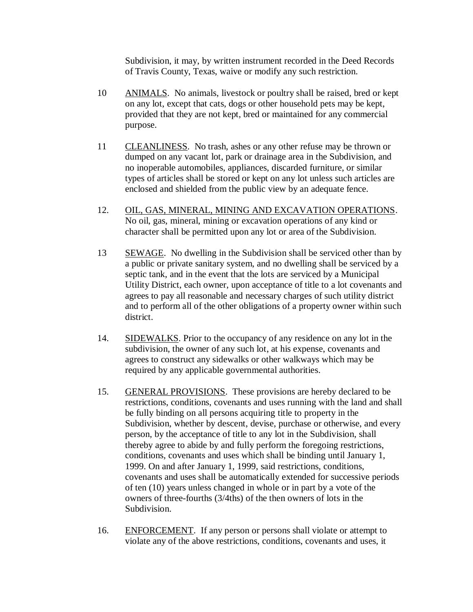Subdivision, it may, by written instrument recorded in the Deed Records of Travis County, Texas, waive or modify any such restriction.

- 10 ANIMALS. No animals, livestock or poultry shall be raised, bred or kept on any lot, except that cats, dogs or other household pets may be kept, provided that they are not kept, bred or maintained for any commercial purpose.
- 11 CLEANLINESS. No trash, ashes or any other refuse may be thrown or dumped on any vacant lot, park or drainage area in the Subdivision, and no inoperable automobiles, appliances, discarded furniture, or similar types of articles shall be stored or kept on any lot unless such articles are enclosed and shielded from the public view by an adequate fence.
- 12. OIL, GAS, MINERAL, MINING AND EXCAVATION OPERATIONS. No oil, gas, mineral, mining or excavation operations of any kind or character shall be permitted upon any lot or area of the Subdivision.
- 13 SEWAGE. No dwelling in the Subdivision shall be serviced other than by a public or private sanitary system, and no dwelling shall be serviced by a septic tank, and in the event that the lots are serviced by a Municipal Utility District, each owner, upon acceptance of title to a lot covenants and agrees to pay all reasonable and necessary charges of such utility district and to perform all of the other obligations of a property owner within such district.
- 14. SIDEWALKS. Prior to the occupancy of any residence on any lot in the subdivision, the owner of any such lot, at his expense, covenants and agrees to construct any sidewalks or other walkways which may be required by any applicable governmental authorities.
- 15. GENERAL PROVISIONS. These provisions are hereby declared to be restrictions, conditions, covenants and uses running with the land and shall be fully binding on all persons acquiring title to property in the Subdivision, whether by descent, devise, purchase or otherwise, and every person, by the acceptance of title to any lot in the Subdivision, shall thereby agree to abide by and fully perform the foregoing restrictions, conditions, covenants and uses which shall be binding until January 1, 1999. On and after January 1, 1999, said restrictions, conditions, covenants and uses shall be automatically extended for successive periods of ten (10) years unless changed in whole or in part by a vote of the owners of three-fourths (3/4ths) of the then owners of lots in the Subdivision.
- 16. ENFORCEMENT. If any person or persons shall violate or attempt to violate any of the above restrictions, conditions, covenants and uses, it